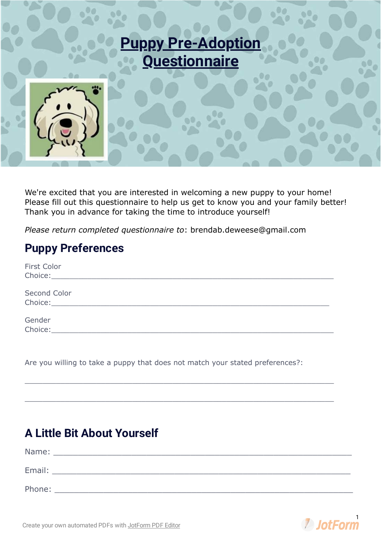

We're excited that you are interested in welcoming a new puppy to your home! Please fill out this questionnaire to help us get to know you and your family better! Thank you in advance for taking the time to introduce yourself!

*Please return completed questionnaire to*: brendab.deweese@gmail.com

## **Puppy Preferences**

| First Color  |                                                                                                                                                                                                                               |  |  |
|--------------|-------------------------------------------------------------------------------------------------------------------------------------------------------------------------------------------------------------------------------|--|--|
| Second Color | Choice: Analysis and the Choice:                                                                                                                                                                                              |  |  |
| Gender       | Choice: The Choice of the Choice of the Choice of the Choice of the Choice of the Choice of the Choice of the Choice of the Choice of the Choice of the Choice of the Choice of the Choice of the Choice of the Choice of the |  |  |

 $\mathcal{L}_\mathcal{L} = \mathcal{L}_\mathcal{L} = \mathcal{L}_\mathcal{L} = \mathcal{L}_\mathcal{L} = \mathcal{L}_\mathcal{L} = \mathcal{L}_\mathcal{L} = \mathcal{L}_\mathcal{L} = \mathcal{L}_\mathcal{L} = \mathcal{L}_\mathcal{L} = \mathcal{L}_\mathcal{L} = \mathcal{L}_\mathcal{L} = \mathcal{L}_\mathcal{L} = \mathcal{L}_\mathcal{L} = \mathcal{L}_\mathcal{L} = \mathcal{L}_\mathcal{L} = \mathcal{L}_\mathcal{L} = \mathcal{L}_\mathcal{L}$ 

 $\mathcal{L}_\mathcal{L} = \mathcal{L}_\mathcal{L} = \mathcal{L}_\mathcal{L} = \mathcal{L}_\mathcal{L} = \mathcal{L}_\mathcal{L} = \mathcal{L}_\mathcal{L} = \mathcal{L}_\mathcal{L} = \mathcal{L}_\mathcal{L} = \mathcal{L}_\mathcal{L} = \mathcal{L}_\mathcal{L} = \mathcal{L}_\mathcal{L} = \mathcal{L}_\mathcal{L} = \mathcal{L}_\mathcal{L} = \mathcal{L}_\mathcal{L} = \mathcal{L}_\mathcal{L} = \mathcal{L}_\mathcal{L} = \mathcal{L}_\mathcal{L}$ 

Are you willing to take a puppy that does not match your stated preferences?:

## **A Little Bit About Yourself**

| Name:  |  |
|--------|--|
|        |  |
| Email: |  |
|        |  |
| Phone: |  |

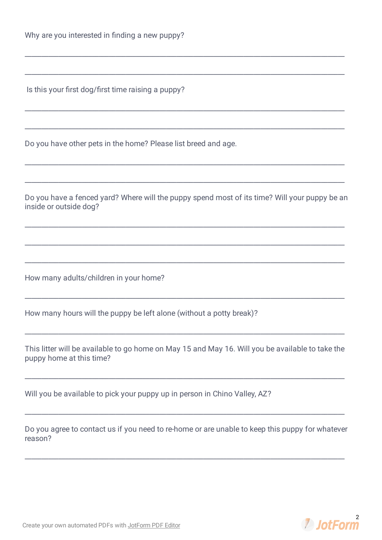Is this your first dog/first time raising a puppy?

Do you have other pets in the home? Please list breed and age.

Do you have a fenced yard? Where will the puppy spend most of its time? Will your puppy be an inside or outside dog?

How many adults/children in your home?

How many hours will the puppy be left alone (without a potty break)?

This litter will be available to go home on May 15 and May 16. Will you be available to take the puppy home at this time?

Will you be available to pick your puppy up in person in Chino Valley, AZ?

Do you agree to contact us if you need to re-home or are unable to keep this puppy for whatever reason?